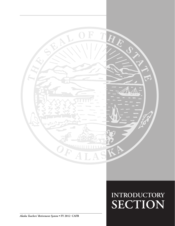

*Alaska Teachers' Retirement System* **• FY 2012 CAFR**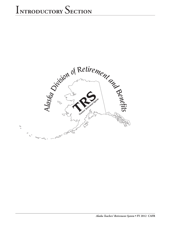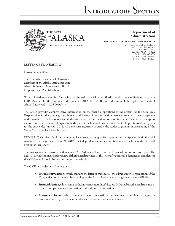



### **Department of Administration**

DIVISION OF RETIREMENT AND BENEFITS

6th Floor State Office Building 333 Willoughby Avenue P.O. Box 110203 Juneau, AK 99811-0203 FAX: (907) 465-3086 Phone: (907) 465-4460 Toll-Free: (800) 821-2251

### **LETTER OF TRANSMITTAL**

November 26, 2012

The Honorable Sean Parnell, Governor Members of the Alaska State Legislature Alaska Retirement Management Board Employers and Plan Members

We are pleased to present the Comprehensive Annual Financial Report (CAFR) of the Teachers' Retirement System (TRS) (System) for the fiscal year ended June 30, 2012. The CAFR is intended to fulfill the legal requirements of Alaska Statute (AS) 14.25.004(a)(8).

The CAFR provides comprehensive information on the financial operations of the System for the fiscal year. Responsibility for the accuracy, completeness and fairness of the information presented rests with the management of the System. To the best of our knowledge and belief, the enclosed information is accurate in all material respects and is reported in a manner designed to fairly present the financial position and results of operations of the System for the year ended June 30, 2012. All disclosures necessary to enable the reader to gain an understanding of the System's activities have been included.

KPMG LLP, Certified Public Accountants, have issued an unqualified opinion on the Systems' basic financial statements for the year ended June 30, 2012. The independent auditor's report is located at the front of the Financial Section of this report.

The management's discussion and analysis (MD&A) is also located in the Financial Section of this report. The MD&A provides an analytical overview of the financial statements. This letter of transmittal is designed to complement the MD&A and should be read in conjunction with it.

The CAFR is divided into five sections:

- **• Introductory Section**, which contains the letter of transmittal, the administrative organization of the TRS, and a list of the members serving on the Alaska Retirement Management Board (ARMB);
- **• Financial Section**, which contains the Independent Auditor's Report, MD&A, basic financial statements, required supplementary information, and additional information;
- **• Investment Section**, which contains a report prepared by the investment consultant, a report on investment activity, investment results, and various investment schedules;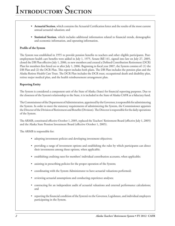- **• Actuarial Section**, which contains the Actuarial Certification letter and the results of the most current annual actuarial valuation; and
- **• Statistical Section**, which includes additional information related to financial trends, demographic and economic information, and operating information.

#### **Profile of the System**

The System was established in 1955 to provide pension benefits to teachers and other eligible participants. Postemployment health care benefits were added in July 1, 1975. Senate Bill 141, signed into law on July 27, 2005, closed the DB Plan effective July 1, 2006, to new members and created a Defined Contribution Retirement (DCR) Plan for members first hired on or after July 1, 2006. Beginning in fiscal year 2007, the System consists of: (1) the DB Plan and (2) the DCR Plan. This report includes both plans. The DB Plan includes the pension plan and the Alaska Retiree Health Care Trust. The DCR Plan includes the DCR trust, occupational death and disability plan, retiree major medical plan, and the health reimbursement arrangement plan.

#### **Reporting Entity**

The System is considered a component unit of the State of Alaska (State) for financial reporting purposes. Due to the closeness of the System's relationship to the State, it is included in the State of Alaska CAFR as a fiduciary fund.

The Commissioner of the Department of Administration, appointed by the Governor, is responsible for administering the System. In order to meet the statutory requirements of administering the System, the Commissioner appoints the Director of the Division of Retirement and Benefits (Division). The Director is responsible for the daily operations of the System.

The ARMB, constituted effective October 1, 2005, replaced the Teachers' Retirement Board (effective July 1, 2005) and the Alaska State Pension Investment Board (effective October 1, 2005).

The ARMB is responsible for:

- adopting investment policies and developing investment objectives;
- • providing a range of investment options and establishing the rules by which participants can direct their investments among those options, when applicable;
- • establishing crediting rates for members' individual contribution accounts, when applicable;
- assisting in prescribing policies for the proper operation of the System;
- coordinating with the System Administrator to have actuarial valuations performed;
- reviewing actuarial assumptions and conducting experience analyses;
- contracting for an independent audit of actuarial valuations and external performance calculations; and
- reporting the financial condition of the System's to the Governor, Legislature, and individual employers participating in the System.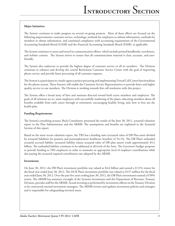### **Major Initiatives**

The System continues to make progress on several on-going projects. Most of these efforts are focused on the following improvements: customer service, technology, methods for employers to submit information, methods for members to obtain information, and continued compliance with accounting requirements of the Governmental Accounting Standards Board (GASB) and the Financial Accounting Standards Board (FASB), as applicable.

The System continues to assess and retool its communication efforts, which include printed handbooks, newsletters, and website content. The System strives to ensure that all communication material is clear, accurate, and userfriendly.

The System also endeavors to provide the highest degree of customer service to all its members. The Division continues to enhance and develop the central Retirement Customer Service Center with the goal of improving phone service and provide faster processing of all customer requests.

The System is a participant in a multi-agency project procuring and implementing Virtual Call Center functionalities for the phone system. These features will enable the Customer Service Representatives to provide faster and higher quality service to our members. The Division is working towards first call resolution with this project.

The System offers a broad array of fairs and seminars directed toward both active members and employers. The goals of all seminars are to: assist employers with successfully marketing of the plans; educating members about all benefits available from early career through to retirement; encouraging healthy living; and, how to best use the health plan.

#### **Funding Requirements**

The System's consulting actuary, Buck Consultants, presented the results of the June 30, 2011, actuarial valuation report to the Plan Administrator and the ARMB. The assumptions and benefits are explained in the Actuarial Section of this report.

Based on the most recent valuation report, the TRS has a funding ratio (actuarial value of DB Plan assets divided by actuarial liabilities for pension and postemployment healthcare benefits) of 54.1%. The DB Plan's unfunded actuarial accrued liability (actuarial liability minus actuarial value of DB plan assets) totals approximately \$4.2 billion. The unfunded liability continues to be addressed at all levels of the State. The Governor's budget proposes to provide funding to TRS employers in order to maintain an appropriate level of employer contributions while also paying the actuarial required contribution rate adopted by the ARMB.

#### **Investments**

On June 30, 2012, the DB Plan's investment portfolio was valued at \$4.6 billion and earned a 0.51% return for the fiscal year ended June 30, 2012. The DCR Plan's investment portfolio was valued at \$137 million for the fiscal year ended June 30, 2012. Over the past five years ending June 30, 2012, the DB Plan's investments earned a 0.90% return. The ARMB has statutory oversight of the System's investments and the Department of Revenue, Treasury Division, provides staff for the ARMB. Actual investing is performed by investment officers in the Treasury Division or by contracted external investment managers. The ARMB reviews and updates investment policies and strategies and is responsible for safeguarding invested assets.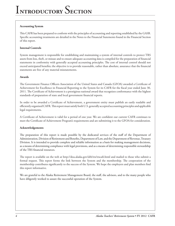### **Accounting System**

This CAFR has been prepared to conform with the principles of accounting and reporting established by the GASB. Specific accounting treatments are detailed in the Notes to the Financial Statements found in the Financial Section of this report.

### **Internal Controls**

System management is responsible for establishing and maintaining a system of internal controls to protect TRS assets from loss, theft, or misuse and to ensure adequate accounting data is compiled for the preparation of financial statements in conformity with generally accepted accounting principles. The cost of internal control should not exceed anticipated benefits; the objective is to provide reasonable, rather than absolute, assurance that the financial statements are free of any material misstatements.

#### **Awards**

The Government Finance Officers Association of the United States and Canada (GFOA) awarded a Certificate of Achievement for Excellence in Financial Reporting to the System for its CAFR for the fiscal year ended June 30, 2011. The Certificate of Achievement is a prestigious national award that recognizes conformance with the highest standards of preparation of state and local government financial reports.

In order to be awarded a Certificate of Achievement, a government entity must publish an easily readable and efficiently organized CAFR. This report must satisfy both U.S. generally accepted accounting principles and applicable legal requirements.

A Certificate of Achievement is valid for a period of one year. We are confident our current CAFR continues to meet the Certificate of Achievement Program's requirements and are submitting it to the GFOA for consideration.

#### **Acknowledgements**

The preparation of this report is made possible by the dedicated services of the staff of the Department of Administration, Division of Retirement and Benefits, Department of Law, and the Department of Revenue, Treasury Division. It is intended to provide complete and reliable information as a basis for making management decisions, as a means of determining compliance with legal provisions, and as a means of determining responsible stewardship of the TRS financial resources.

The report is available on the web at http://doa.alaska.gov/drb/trs/trscafr.html and mailed to those who submit a formal request. This report forms the link between the System and the membership. The cooperation of the membership contributes significantly to the success of the System. We hope the employers and plan members find this report informative.

We are grateful to the Alaska Retirement Management Board, the staff, the advisors, and to the many people who have diligently worked to assure the successful operation of the System.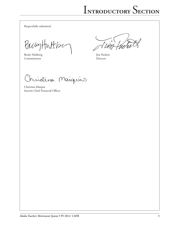Respectfully submitted,

BachyHuttse

Becky Hultberg Jim Puckett<br>Commissioner Director Commissioner

 $\sim$  /

Christina Maiguir

Christina Maiquis Interim Chief Financial Officer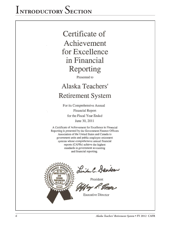## i**ntroductory** S**ection**

### Certificate of Achievement for Excellence in Financial Reporting

Presented to

### Alaska Teachers' **Retirement System**

For its Comprehensive Annual **Financial Report** for the Fiscal Year Ended June 30, 2011

A Certificate of Achievement for Excellence in Financial Reporting is presented by the Government Finance Officers Association of the United States and Canada to government units and public employee retirement systems whose comprehensive annual financial reports (CAFRs) achieve the highest standards in government accounting and financial reporting.



Linda C. Dandson

President

**Executive Director**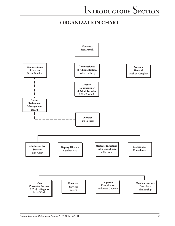### **organization CHART**

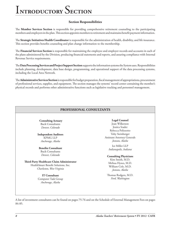# i**ntroductory** S**ection**

### **Section Responsibilities**

The **Member Services Section** is responsible for providing comprehensive retirement counseling to the participating members and employers in the plan. This section appoints members to retirement and maintains benefit payment information.

The **Strategic Initiatives Health Coordinator** is responsible for the administration of health, disability, and life insurance. This section provides benefits counseling and plan change information to the membership.

The **Financial Services Section** is responsible for maintaining the employee and employer records and accounts in each of the plans administered by the Division, producing financial statements and reports, and assuring compliance with Internal Revenue Service requirements.

The **Data Processing Services and Project Support Section** supports the information systems the System uses. Responsibilities include planning, development, data base design, programming, and operational support of the data processing systems, including the Local Area Network.

The **Administrative Services Section** is responsible for budget preparation, fiscal management of appropriations, procurement of professional services, supplies, and equipment. The section manages the systems' record center containing the member's physical records and performs other administrative functions such as legislative tracking and personnel management.

### **PROFESSIONAL CONSULTANTS**

**Consulting Actuary** Buck Consultants *Denver, Colorado*

**Independent Auditors** KPMG LLP *Anchorage, Alaska*

**Benefits Consultant** Buck Consultants *Denver, Colorado*

**Third-Party Healthcare Claim Administrator** HealthSmart Benefit Solutions, Inc. *Charleston, West Virginia*

> **IT Consultant** Computer Task Group *Anchorage, Alaska*

#### **Legal Counsel** Joan Wilkerson Jessica Srader Rebecca Polizzotto Toby Steinberger Assistant Attorney Generals *Juneau, Alaska*

Ice Miller LLP *Indianapolis, Indiana*

#### **Consulting Physicians**

Kim Smith, M.D. Melissa Hynes, M.D. William Cole, M.D. *Juneau, Alaska*

Thomas Rodgers, M.D. *Ford, Washington*

A list of investment consultants can be found on pages 75-76 and on the Schedule of External Management Fees on pages 84-85.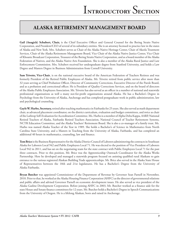### **Alaska Retirement Management Board**

**Gail (Anagick) Schubert, Chair,** is the Chief Executive Officer and General Counsel for the Bering Straits Native Corporation, and President/CEO of several of its subsidiary entities. She is an attorney licensed to practice law in the states of Alaska and New York. Mrs. Schubert serves as Chair of the Alaska Native Heritage Center, Chair of Akeela Treatment Services, Chair of the Alaska Retirement Management Board, Vice Chair of the Alaska Native Justice Center, Vice Chair of Khoanic Broadcast Corporation, Treasurer of the Bering Straits Native Corporation, and as a board member of the Alaska Federation of Natives, and the Alaska Native Arts Foundation. She is also a member of the Alaska Rural Justice and Law Enforcement Commission. Mrs. Schubert received her undergraduate degree from Stanford University, and holds a Law Degree and Masters Degree in Business Administration from Cornell University.

**Sam Trivette, Vice-Chair**, is on the national executive board of the American Federation of Teachers Retirees and was formerly President of the Retired Public Employees of Alaska. Mr. Trivette retired from public service after more than 32 years serving as Chief Probation Officer, Director of Community Corrections, Executive Director of the Parole Board, and as a probation and correctional officer. He is President of Quality Corrections Services, and on the board of directors of the Alaska Public Employees Association. Mr. Trivette has also served as an officer in a number of national and statewide professional organizations as well a many not-for-profit organizations around Alaska. He has a Bachelor's Degree in Psychology from the University of Alaska, Anchorage and has completed postgraduate work in public administration, law and psychological counseling.

**Gayle W. Harbo, Secretary,** retired after teaching mathematics in Fairbanks for 25 years. She also served as math department chair, as advanced placement coordinator, on the district curriculum, evaluation and budget committees, and twice as chair of the Lathrop Self-Evaluation for Accreditation Committee. Ms. Harbo is a member of Alpha Delta Kappa, AARP, National Retired Teachers of Alaska, Fairbanks Retired Teachers Association, National Council of Teacher Retirement Systems, NCTR Education Committee, and the Alaska Teachers' Retirement Board. She is also a co-manager of a family trust. Ms. Harbo was named Alaska Teacher of the Year in 1989. She holds a Bachelor's of Science in Mathematics from North Carolina State University, and a Masters in Teaching from the University of Alaska, Fairbanks, and has completed an additional 40 hours in mathematics, counseling, law and finance.

**Tom Brice** is the Business Representative for the Alaska District Council of Laborers administering the contracts in Southeast Alaska for Laborers Local 942 and Public Employees Local 71. He was elected to the position of Vice President of Laborers Local 942 in 2011, and has sat on the negotiating team for the state contract with Public Employees Local 71 for the past three contracts. Prior to this position, Mr. Brice was the Apprenticeship Outreach Coordinator for the Alaska Works Partnership. Here he developed and managed a statewide program focused on assisting qualified rural Alaskans to gain entrance to the various registered Alaskan Building Trade apprenticeships. Mr. Brice also served in the Alaska State House of Representatives between the 18th and 21st legislatures. He has a Bachelor's Degree from the University of Alaska Fairbanks.

**Bryan Butcher** was appointed Commissioner of the Department of Revenue by Governor Sean Parnell in November, 2010. Prior to that, he worked at the Alaska Housing Finance Corporation (AHFC) as the director of governmental relations and public affairs and advised Governor Parnell on economic development issues. He also served as vice president of the Alaska Gasline Development Corporation. Before joining AHFC in 2003, Mr. Butcher worked as a finance aide for the state House and Senate finance committees for 12 years. Mr. Butcher holds a Bachelor's Degree in Speech Communications from the University of Oregon. He is a lifelong Alaskan, born and raised in Anchorage.